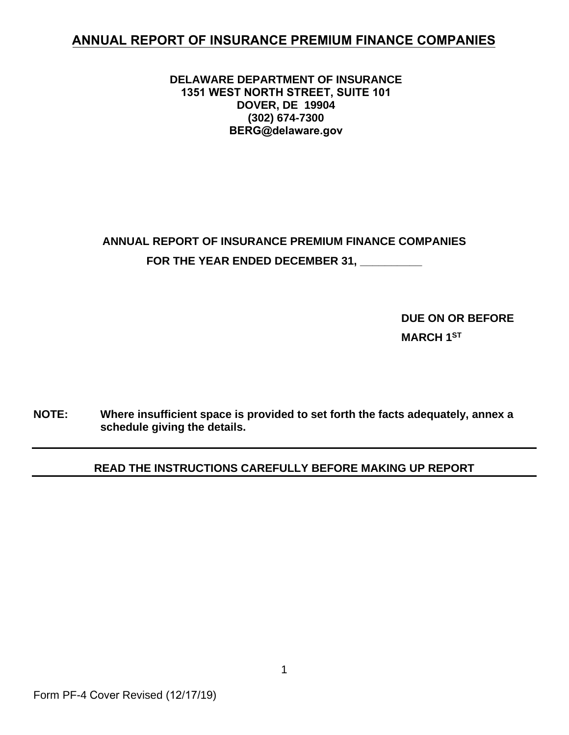## **ANNUAL REPORT OF INSURANCE PREMIUM FINANCE COMPANIES**

#### **DELAWARE DEPARTMENT OF INSURANCE 1351 WEST NORTH STREET, SUITE 101 DOVER, DE 19904 (302) 674-7300 BERG@delaware.gov**

# **ANNUAL REPORT OF INSURANCE PREMIUM FINANCE COMPANIES** FOR THE YEAR ENDED DECEMBER 31,

**DUE ON OR BEFORE MARCH 1ST** 

**NOTE: Where insufficient space is provided to set forth the facts adequately, annex a schedule giving the details.**

#### **READ THE INSTRUCTIONS CAREFULLY BEFORE MAKING UP REPORT**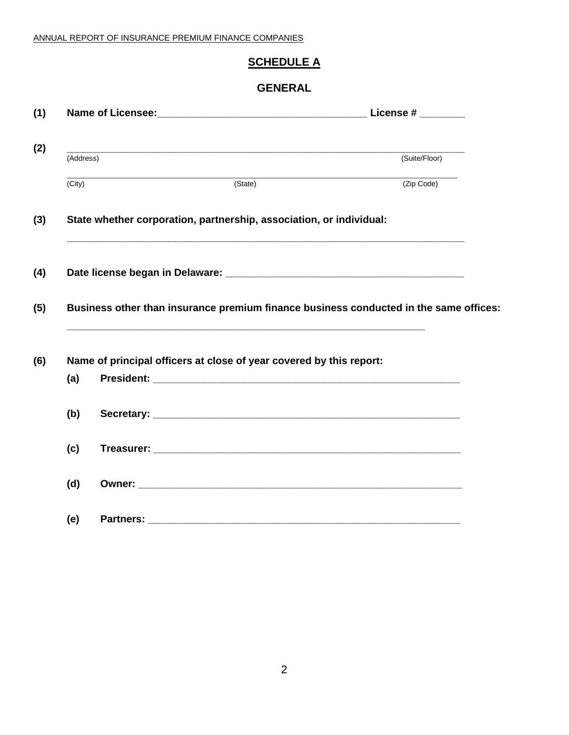### **SCHEDULE A**

#### **GENERAL**

|           |                                                                                                                       |                      | License # $\_\_$ |
|-----------|-----------------------------------------------------------------------------------------------------------------------|----------------------|------------------|
|           |                                                                                                                       |                      |                  |
| (Address) |                                                                                                                       |                      | (Suite/Floor)    |
| (City)    | <u> 1980 - Johann John Stone, mars and de final de la provincia de la provincia de la provincia de la provincia d</u> | $\overline{(State)}$ | (Zip Code)       |
|           | State whether corporation, partnership, association, or individual:                                                   |                      |                  |
|           |                                                                                                                       |                      |                  |
|           | Business other than insurance premium finance business conducted in the same offices:                                 |                      |                  |
|           | Name of principal officers at close of year covered by this report:                                                   |                      |                  |
| (a)       |                                                                                                                       |                      |                  |
| (b)       |                                                                                                                       |                      |                  |
| (c)       |                                                                                                                       |                      |                  |
|           |                                                                                                                       |                      |                  |
| (d)       |                                                                                                                       |                      |                  |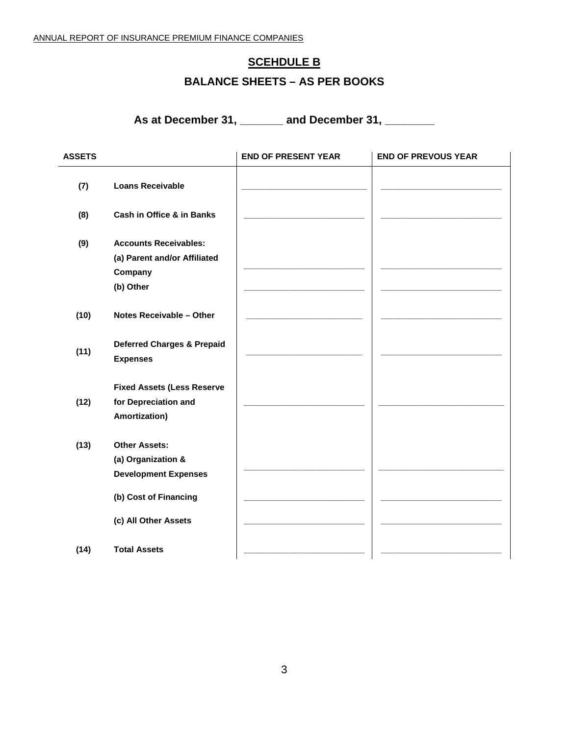## **SCEHDULE B**

## **BALANCE SHEETS – AS PER BOOKS**

**As at December 31, \_\_\_\_\_\_\_ and December 31, \_\_\_\_\_\_\_\_**

| <b>ASSETS</b> |                                                                                      | <b>END OF PRESENT YEAR</b> | <b>END OF PREVOUS YEAR</b> |
|---------------|--------------------------------------------------------------------------------------|----------------------------|----------------------------|
| (7)           | <b>Loans Receivable</b>                                                              |                            |                            |
| (8)           | Cash in Office & in Banks                                                            |                            |                            |
| (9)           | <b>Accounts Receivables:</b><br>(a) Parent and/or Affiliated<br>Company<br>(b) Other |                            |                            |
| (10)          | Notes Receivable - Other                                                             |                            |                            |
| (11)          | <b>Deferred Charges &amp; Prepaid</b><br><b>Expenses</b>                             |                            |                            |
| (12)          | <b>Fixed Assets (Less Reserve</b><br>for Depreciation and<br>Amortization)           |                            |                            |
| (13)          | <b>Other Assets:</b><br>(a) Organization &<br><b>Development Expenses</b>            |                            |                            |
|               | (b) Cost of Financing                                                                |                            |                            |
|               | (c) All Other Assets                                                                 |                            |                            |
| (14)          | <b>Total Assets</b>                                                                  |                            |                            |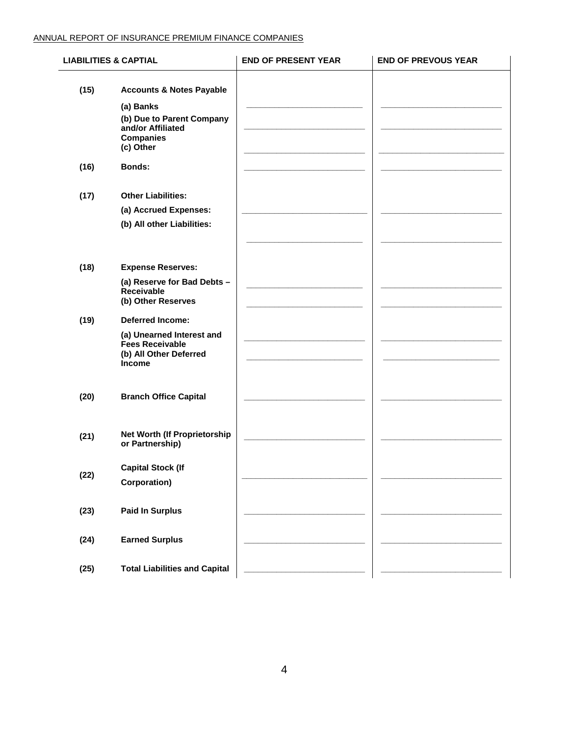#### ANNUAL REPORT OF INSURANCE PREMIUM FINANCE COMPANIES

| <b>LIABILITIES &amp; CAPTIAL</b> |                                                                                                    | <b>END OF PRESENT YEAR</b> | <b>END OF PREVOUS YEAR</b> |
|----------------------------------|----------------------------------------------------------------------------------------------------|----------------------------|----------------------------|
| (15)                             | <b>Accounts &amp; Notes Payable</b><br>(a) Banks<br>(b) Due to Parent Company<br>and/or Affiliated |                            |                            |
|                                  | <b>Companies</b><br>(c) Other                                                                      |                            |                            |
| (16)                             | <b>Bonds:</b>                                                                                      |                            |                            |
| (17)                             | <b>Other Liabilities:</b>                                                                          |                            |                            |
|                                  | (a) Accrued Expenses:                                                                              |                            |                            |
|                                  | (b) All other Liabilities:                                                                         |                            |                            |
| (18)                             | <b>Expense Reserves:</b>                                                                           |                            |                            |
|                                  | (a) Reserve for Bad Debts -<br>Receivable<br>(b) Other Reserves                                    |                            |                            |
| (19)                             | <b>Deferred Income:</b>                                                                            |                            |                            |
|                                  | (a) Unearned Interest and<br><b>Fees Receivable</b><br>(b) All Other Deferred<br><b>Income</b>     |                            |                            |
| (20)                             | <b>Branch Office Capital</b>                                                                       |                            |                            |
| (21)                             | Net Worth (If Proprietorship<br>or Partnership)                                                    |                            |                            |
| (22)                             | <b>Capital Stock (If</b><br>Corporation)                                                           |                            |                            |
| (23)                             | <b>Paid In Surplus</b>                                                                             |                            |                            |
| (24)                             | <b>Earned Surplus</b>                                                                              |                            |                            |
| (25)                             | <b>Total Liabilities and Capital</b>                                                               |                            |                            |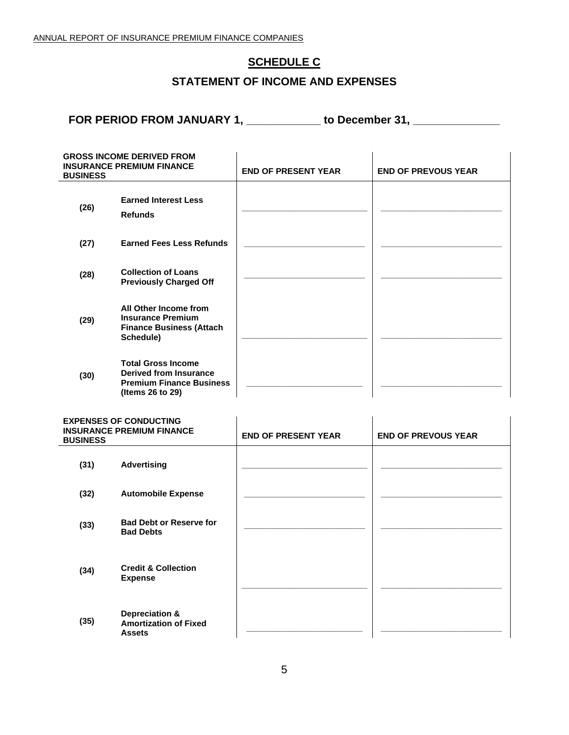#### **SCHEDULE C**

#### **STATEMENT OF INCOME AND EXPENSES**

**FOR PERIOD FROM JANUARY 1, \_\_\_\_\_\_\_\_\_\_\_\_ to December 31, \_\_\_\_\_\_\_\_\_\_\_\_\_\_**

| <b>GROSS INCOME DERIVED FROM</b><br><b>INSURANCE PREMIUM FINANCE</b><br><b>BUSINESS</b> |                                                                                                                   | <b>END OF PRESENT YEAR</b> | <b>END OF PREVOUS YEAR</b> |
|-----------------------------------------------------------------------------------------|-------------------------------------------------------------------------------------------------------------------|----------------------------|----------------------------|
| (26)                                                                                    | <b>Earned Interest Less</b><br><b>Refunds</b>                                                                     |                            |                            |
| (27)                                                                                    | <b>Earned Fees Less Refunds</b>                                                                                   |                            |                            |
| (28)                                                                                    | <b>Collection of Loans</b><br><b>Previously Charged Off</b>                                                       |                            |                            |
| (29)                                                                                    | All Other Income from<br><b>Insurance Premium</b><br><b>Finance Business (Attach</b><br>Schedule)                 |                            |                            |
| (30)                                                                                    | <b>Total Gross Income</b><br><b>Derived from Insurance</b><br><b>Premium Finance Business</b><br>(Items 26 to 29) |                            |                            |
| <b>BUSINESS</b>                                                                         | <b>EXPENSES OF CONDUCTING</b><br><b>INSURANCE PREMIUM FINANCE</b>                                                 | <b>END OF PRESENT YEAR</b> | <b>END OF PREVOUS YEAR</b> |
| (31)                                                                                    | <b>Advertising</b>                                                                                                |                            |                            |
| (32)                                                                                    | <b>Automobile Expense</b>                                                                                         |                            |                            |
| (33)                                                                                    | <b>Bad Debt or Reserve for</b><br><b>Bad Debts</b>                                                                |                            |                            |
| (34)                                                                                    | <b>Credit &amp; Collection</b><br><b>Expense</b>                                                                  |                            |                            |
|                                                                                         | <b>Depreciation &amp;</b>                                                                                         |                            |                            |

**(35) Depreciation & Amortization of Fixed Assets \_\_\_\_\_\_\_\_\_\_\_\_\_\_\_\_\_\_\_\_\_\_\_\_\_ \_\_\_\_\_\_\_\_\_\_\_\_\_\_\_\_\_\_\_\_\_\_\_\_\_\_**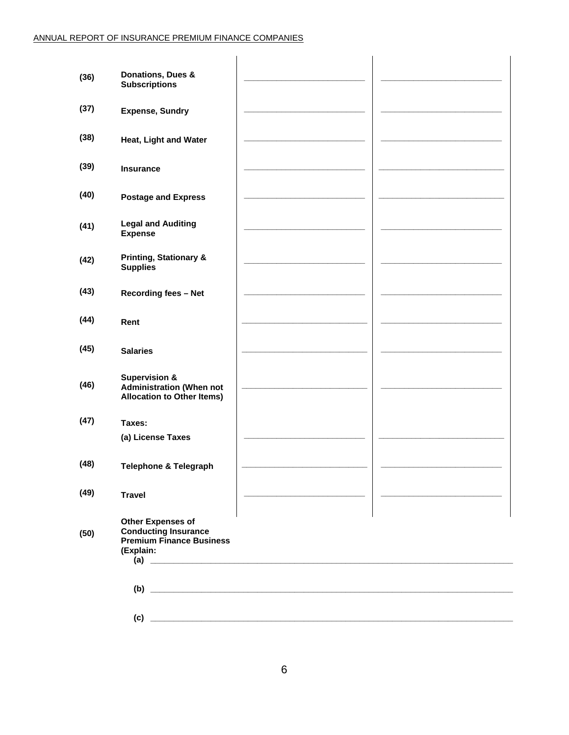| (36) | Donations, Dues &<br><b>Subscriptions</b>                                                               |                                                                                                                                                                                                                                                                                                                                                                     |  |
|------|---------------------------------------------------------------------------------------------------------|---------------------------------------------------------------------------------------------------------------------------------------------------------------------------------------------------------------------------------------------------------------------------------------------------------------------------------------------------------------------|--|
| (37) | <b>Expense, Sundry</b>                                                                                  |                                                                                                                                                                                                                                                                                                                                                                     |  |
| (38) | Heat, Light and Water                                                                                   |                                                                                                                                                                                                                                                                                                                                                                     |  |
| (39) | <b>Insurance</b>                                                                                        |                                                                                                                                                                                                                                                                                                                                                                     |  |
| (40) | <b>Postage and Express</b>                                                                              |                                                                                                                                                                                                                                                                                                                                                                     |  |
| (41) | <b>Legal and Auditing</b><br><b>Expense</b>                                                             |                                                                                                                                                                                                                                                                                                                                                                     |  |
| (42) | <b>Printing, Stationary &amp;</b><br><b>Supplies</b>                                                    |                                                                                                                                                                                                                                                                                                                                                                     |  |
| (43) | <b>Recording fees - Net</b>                                                                             |                                                                                                                                                                                                                                                                                                                                                                     |  |
| (44) | Rent                                                                                                    |                                                                                                                                                                                                                                                                                                                                                                     |  |
| (45) | <b>Salaries</b>                                                                                         |                                                                                                                                                                                                                                                                                                                                                                     |  |
| (46) | <b>Supervision &amp;</b><br><b>Administration (When not</b><br><b>Allocation to Other Items)</b>        |                                                                                                                                                                                                                                                                                                                                                                     |  |
| (47) | Taxes:                                                                                                  |                                                                                                                                                                                                                                                                                                                                                                     |  |
|      | (a) License Taxes                                                                                       |                                                                                                                                                                                                                                                                                                                                                                     |  |
| (48) | Telephone & Telegraph                                                                                   |                                                                                                                                                                                                                                                                                                                                                                     |  |
| (49) | <b>Travel</b>                                                                                           |                                                                                                                                                                                                                                                                                                                                                                     |  |
| (50) | <b>Other Expenses of</b><br><b>Conducting Insurance</b><br><b>Premium Finance Business</b><br>(Explain: | $\begin{picture}(20,10) \put(0,0){\vector(1,0){100}} \put(15,0){\vector(1,0){100}} \put(15,0){\vector(1,0){100}} \put(15,0){\vector(1,0){100}} \put(15,0){\vector(1,0){100}} \put(15,0){\vector(1,0){100}} \put(15,0){\vector(1,0){100}} \put(15,0){\vector(1,0){100}} \put(15,0){\vector(1,0){100}} \put(15,0){\vector(1,0){100}} \put(15,0){\vector(1,0){100}} \$ |  |
|      |                                                                                                         | $\begin{picture}(150,10) \put(0,0){\vector(1,0){100}} \put(15,0){\vector(1,0){100}} \put(15,0){\vector(1,0){100}} \put(15,0){\vector(1,0){100}} \put(15,0){\vector(1,0){100}} \put(15,0){\vector(1,0){100}} \put(15,0){\vector(1,0){100}} \put(15,0){\vector(1,0){100}} \put(15,0){\vector(1,0){100}} \put(15,0){\vector(1,0){100}} \put(15,0){\vector(1,0){100}}$  |  |
|      |                                                                                                         |                                                                                                                                                                                                                                                                                                                                                                     |  |
|      |                                                                                                         |                                                                                                                                                                                                                                                                                                                                                                     |  |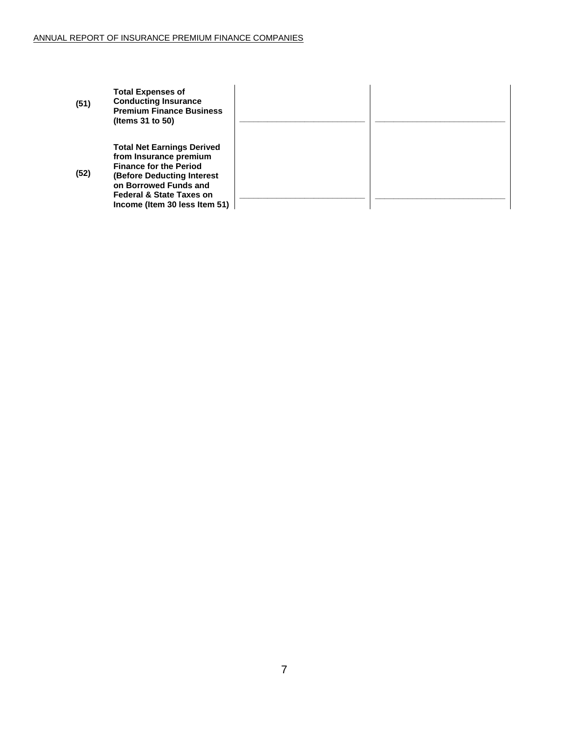| (51) | <b>Total Expenses of</b><br><b>Conducting Insurance</b><br><b>Premium Finance Business</b><br>(Items $31$ to $50$ )                                                                                                                |  |
|------|------------------------------------------------------------------------------------------------------------------------------------------------------------------------------------------------------------------------------------|--|
| (52) | <b>Total Net Earnings Derived</b><br>from Insurance premium<br><b>Finance for the Period</b><br><b>(Before Deducting Interest</b><br>on Borrowed Funds and<br><b>Federal &amp; State Taxes on</b><br>Income (Item 30 less Item 51) |  |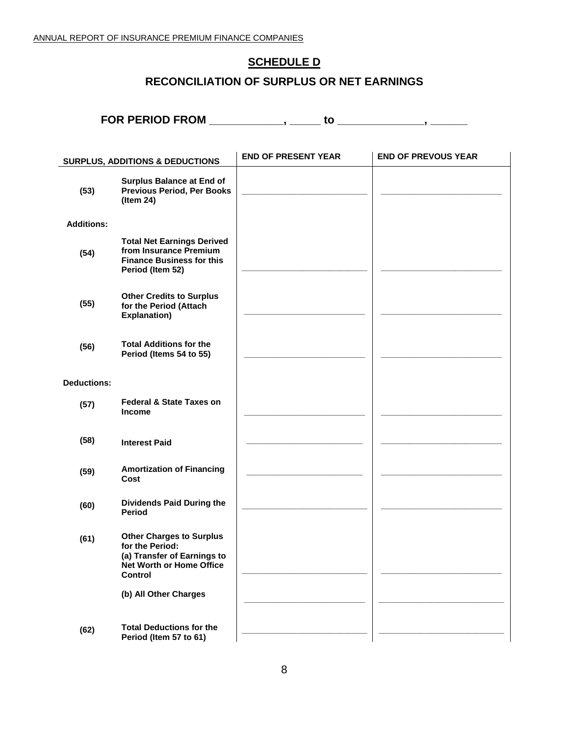### **SCHEDULE D**

## **RECONCILIATION OF SURPLUS OR NET EARNINGS**

**FOR PERIOD FROM \_\_\_\_\_\_\_\_\_\_\_\_, \_\_\_\_\_ to \_\_\_\_\_\_\_\_\_\_\_\_\_\_, \_\_\_\_\_\_**

|                    | <b>SURPLUS, ADDITIONS &amp; DEDUCTIONS</b>                                                                               | <b>END OF PRESENT YEAR</b> | <b>END OF PREVOUS YEAR</b> |
|--------------------|--------------------------------------------------------------------------------------------------------------------------|----------------------------|----------------------------|
| (53)               | <b>Surplus Balance at End of</b><br><b>Previous Period, Per Books</b><br>(Item 24)                                       |                            |                            |
| <b>Additions:</b>  |                                                                                                                          |                            |                            |
| (54)               | <b>Total Net Earnings Derived</b><br>from Insurance Premium<br><b>Finance Business for this</b><br>Period (Item 52)      |                            |                            |
| (55)               | <b>Other Credits to Surplus</b><br>for the Period (Attach<br><b>Explanation)</b>                                         |                            |                            |
| (56)               | <b>Total Additions for the</b><br>Period (Items 54 to 55)                                                                |                            |                            |
| <b>Deductions:</b> |                                                                                                                          |                            |                            |
| (57)               | <b>Federal &amp; State Taxes on</b><br><b>Income</b>                                                                     |                            |                            |
| (58)               | <b>Interest Paid</b>                                                                                                     |                            |                            |
| (59)               | <b>Amortization of Financing</b><br>Cost                                                                                 |                            |                            |
| (60)               | <b>Dividends Paid During the</b><br><b>Period</b>                                                                        |                            |                            |
| (61)               | <b>Other Charges to Surplus</b><br>for the Period:<br>(a) Transfer of Earnings to<br>Net Worth or Home Office<br>Control |                            |                            |
|                    | (b) All Other Charges                                                                                                    |                            |                            |
| (62)               | <b>Total Deductions for the</b><br>Period (Item 57 to 61)                                                                |                            |                            |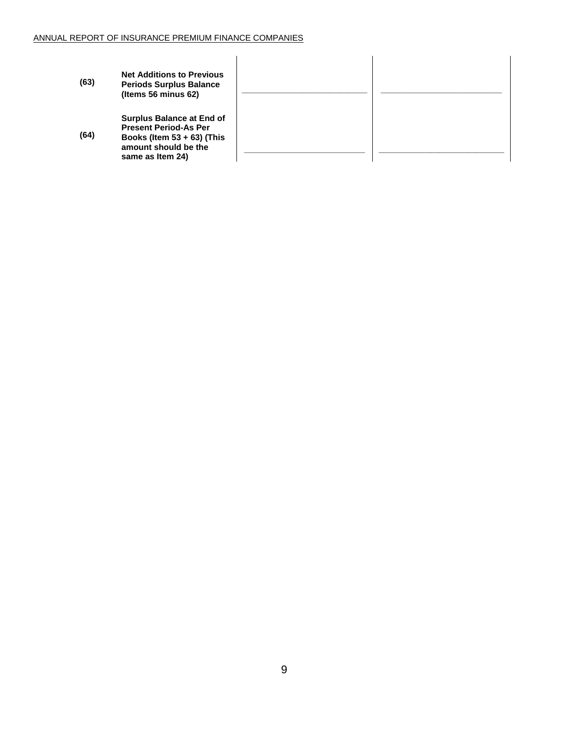| (63) | <b>Net Additions to Previous</b><br><b>Periods Surplus Balance</b><br>(Items 56 minus 62)                                                     |  |
|------|-----------------------------------------------------------------------------------------------------------------------------------------------|--|
| (64) | <b>Surplus Balance at End of</b><br><b>Present Period-As Per</b><br>Books (Item $53 + 63$ ) (This<br>amount should be the<br>same as Item 24) |  |